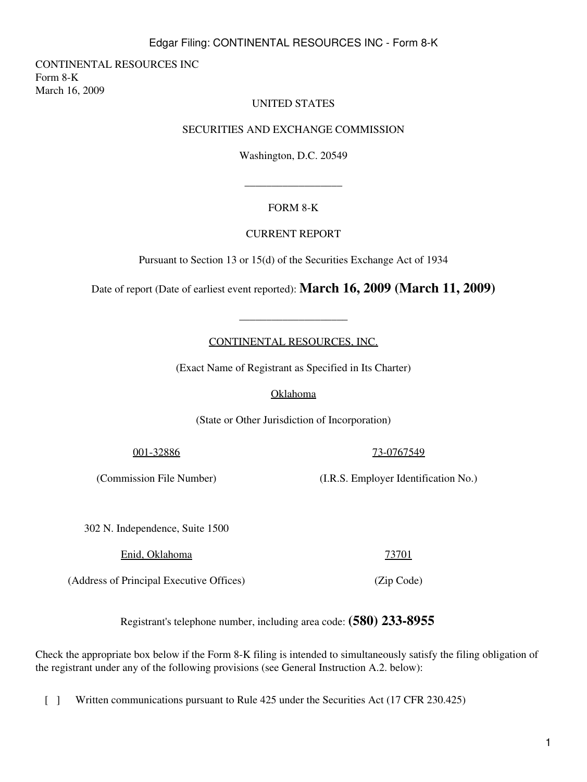# Edgar Filing: CONTINENTAL RESOURCES INC - Form 8-K

CONTINENTAL RESOURCES INC Form 8-K March 16, 2009

#### UNITED STATES

#### SECURITIES AND EXCHANGE COMMISSION

Washington, D.C. 20549

## FORM 8-K

\_\_\_\_\_\_\_\_\_\_\_\_\_\_\_\_\_\_

#### CURRENT REPORT

Pursuant to Section 13 or 15(d) of the Securities Exchange Act of 1934

Date of report (Date of earliest event reported): **March 16, 2009 (March 11, 2009)**

## CONTINENTAL RESOURCES, INC.

\_\_\_\_\_\_\_\_\_\_\_\_\_\_\_\_\_\_\_\_

(Exact Name of Registrant as Specified in Its Charter)

### Oklahoma

(State or Other Jurisdiction of Incorporation)

001-32886

(Commission File Number)

(I.R.S. Employer Identification No.)

73-0767549

302 N. Independence, Suite 1500

Enid, Oklahoma

(Address of Principal Executive Offices)

Registrant's telephone number, including area code: **(580) 233-8955**

Check the appropriate box below if the Form 8-K filing is intended to simultaneously satisfy the filing obligation of the registrant under any of the following provisions (see General Instruction A.2. below):

[ ] Written communications pursuant to Rule 425 under the Securities Act (17 CFR 230.425)

73701

(Zip Code)